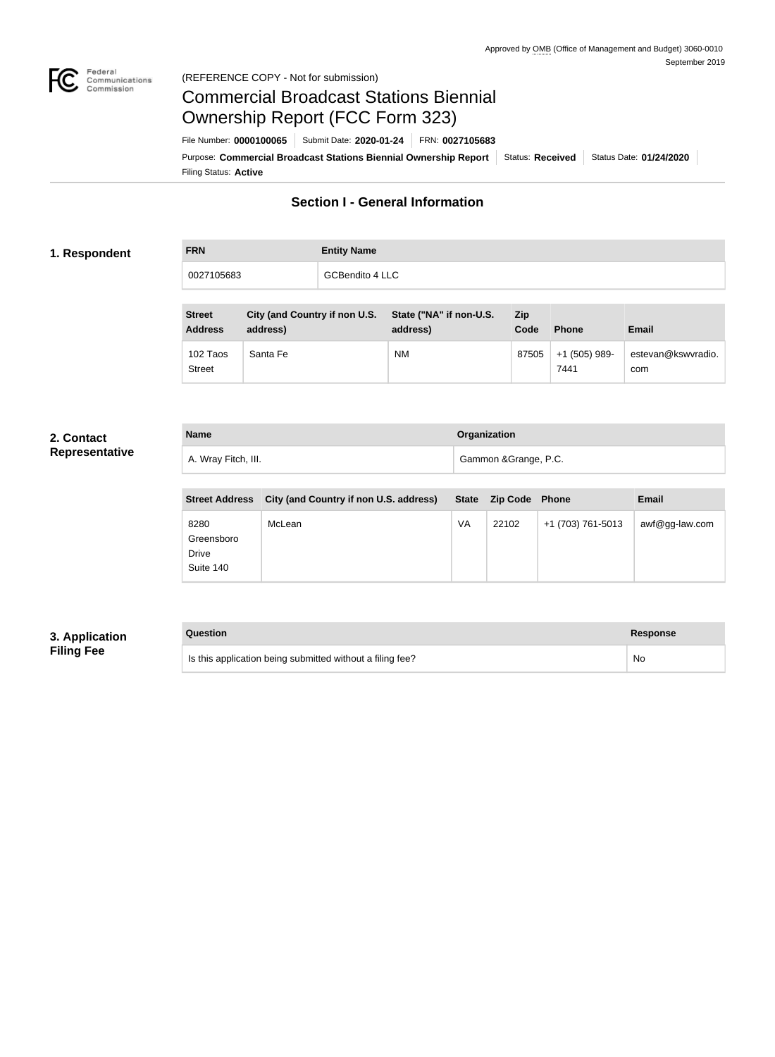

### Federal<br>Communications<br>Commission (REFERENCE COPY - Not for submission)

# Commercial Broadcast Stations Biennial Ownership Report (FCC Form 323)

Filing Status: **Active** Purpose: Commercial Broadcast Stations Biennial Ownership Report Status: Received Status Date: 01/24/2020 File Number: **0000100065** Submit Date: **2020-01-24** FRN: **0027105683**

### **Section I - General Information**

### **1. Respondent**

**FRN Entity Name** 0027105683 GCBendito 4 LLC

| <b>Street</b><br><b>Address</b> | City (and Country if non U.S.<br>address) | State ("NA" if non-U.S.<br>address) | Zip<br>Code | <b>Phone</b>          | Email                     |
|---------------------------------|-------------------------------------------|-------------------------------------|-------------|-----------------------|---------------------------|
| 102 Taos<br><b>Street</b>       | Santa Fe                                  | <b>NM</b>                           | 87505       | +1 (505) 989-<br>7441 | estevan@kswvradio.<br>com |

### **2. Contact Representative**

| <b>Name</b>         | Organization          |  |
|---------------------|-----------------------|--|
| A. Wray Fitch, III. | Gammon & Grange, P.C. |  |

| <b>Street Address</b>                    | City (and Country if non U.S. address) |    | State Zip Code Phone |                   | <b>Email</b>      |
|------------------------------------------|----------------------------------------|----|----------------------|-------------------|-------------------|
| 8280<br>Greensboro<br>Drive<br>Suite 140 | McLean                                 | VA | 22102                | +1 (703) 761-5013 | $awf@gg$ -law.com |

### **3. Application Filing Fee**

| Question                                                  | Response |
|-----------------------------------------------------------|----------|
| Is this application being submitted without a filing fee? | No       |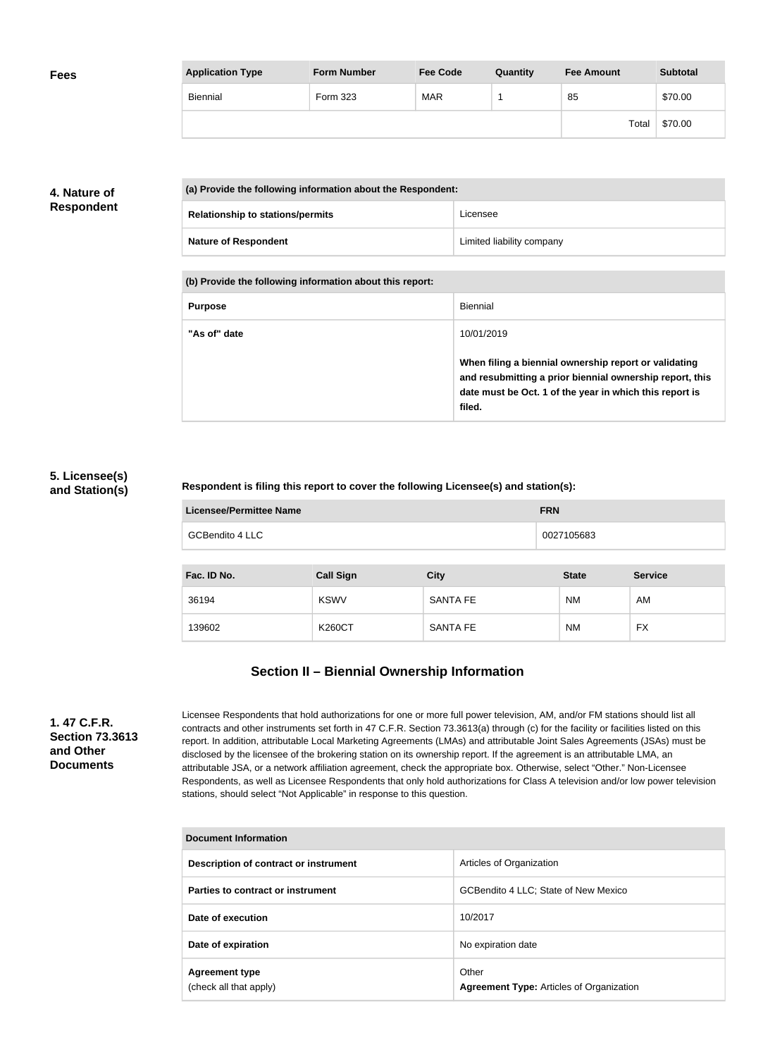| <b>Fees</b> | <b>Application Type</b> | <b>Form Number</b> | <b>Fee Code</b> | Quantity | <b>Fee Amount</b> | <b>Subtotal</b> |
|-------------|-------------------------|--------------------|-----------------|----------|-------------------|-----------------|
|             | Biennial                | Form 323           | <b>MAR</b>      |          | 85                | \$70.00         |
|             |                         |                    |                 |          | Total             | \$70.00         |

### **4. Nature of Respondent**

| (a) Provide the following information about the Respondent: |                                         |                           |
|-------------------------------------------------------------|-----------------------------------------|---------------------------|
|                                                             | <b>Relationship to stations/permits</b> | Licensee                  |
|                                                             | <b>Nature of Respondent</b>             | Limited liability company |

**(b) Provide the following information about this report:**

| <b>Purpose</b> | Biennial                                                                                                                                                                               |
|----------------|----------------------------------------------------------------------------------------------------------------------------------------------------------------------------------------|
| "As of" date   | 10/01/2019                                                                                                                                                                             |
|                | When filing a biennial ownership report or validating<br>and resubmitting a prior biennial ownership report, this<br>date must be Oct. 1 of the year in which this report is<br>filed. |

### **5. Licensee(s) and Station(s)**

### **Respondent is filing this report to cover the following Licensee(s) and station(s):**

| Licensee/Permittee Name | <b>FRN</b> |
|-------------------------|------------|
| GCBendito 4 LLC         | 0027105683 |

| Fac. ID No. | <b>Call Sign</b> | <b>City</b>     | <b>State</b> | <b>Service</b> |
|-------------|------------------|-----------------|--------------|----------------|
| 36194       | <b>KSWV</b>      | <b>SANTA FE</b> | <b>NM</b>    | AM             |
| 139602      | <b>K260CT</b>    | <b>SANTA FE</b> | <b>NM</b>    | <b>FX</b>      |

### **Section II – Biennial Ownership Information**

**1. 47 C.F.R. Section 73.3613 and Other Documents**

Licensee Respondents that hold authorizations for one or more full power television, AM, and/or FM stations should list all contracts and other instruments set forth in 47 C.F.R. Section 73.3613(a) through (c) for the facility or facilities listed on this report. In addition, attributable Local Marketing Agreements (LMAs) and attributable Joint Sales Agreements (JSAs) must be disclosed by the licensee of the brokering station on its ownership report. If the agreement is an attributable LMA, an attributable JSA, or a network affiliation agreement, check the appropriate box. Otherwise, select "Other." Non-Licensee Respondents, as well as Licensee Respondents that only hold authorizations for Class A television and/or low power television stations, should select "Not Applicable" in response to this question.

| Document Information                            |                                                          |  |  |
|-------------------------------------------------|----------------------------------------------------------|--|--|
| Description of contract or instrument           | Articles of Organization                                 |  |  |
| Parties to contract or instrument               | GCBendito 4 LLC; State of New Mexico                     |  |  |
| Date of execution                               | 10/2017                                                  |  |  |
| Date of expiration                              | No expiration date                                       |  |  |
| <b>Agreement type</b><br>(check all that apply) | Other<br><b>Agreement Type: Articles of Organization</b> |  |  |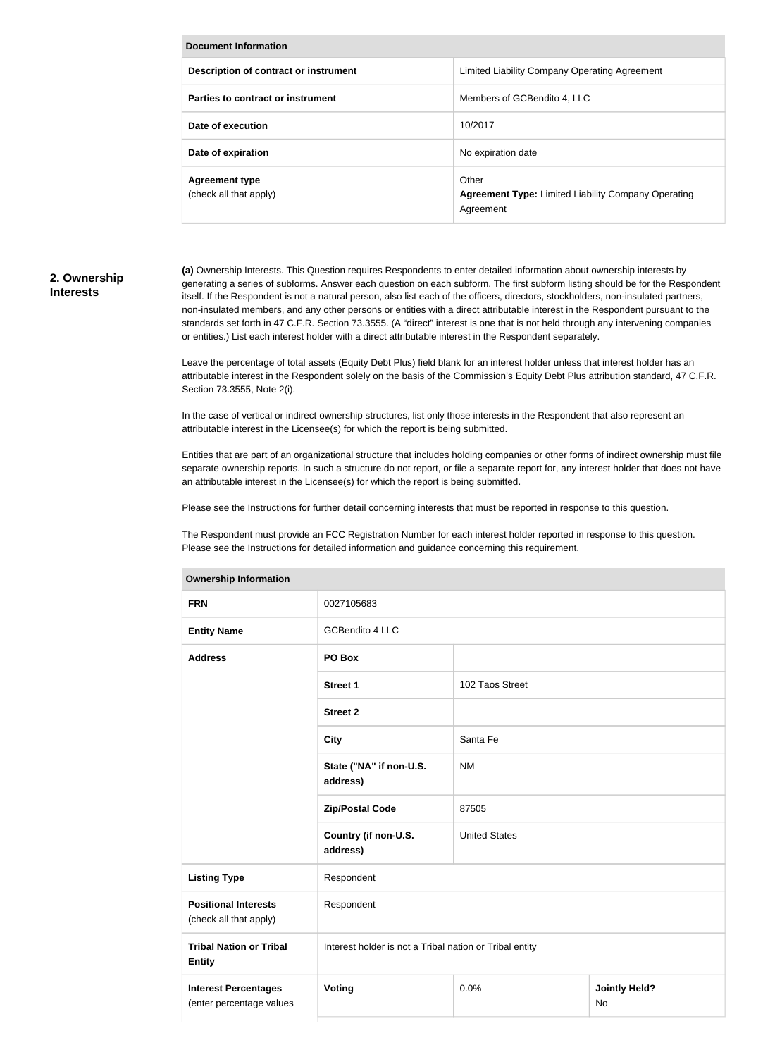| <b>Document Information</b>                     |                                                                                  |  |  |
|-------------------------------------------------|----------------------------------------------------------------------------------|--|--|
| Description of contract or instrument           | Limited Liability Company Operating Agreement                                    |  |  |
| Parties to contract or instrument               | Members of GCBendito 4, LLC                                                      |  |  |
| Date of execution                               | 10/2017                                                                          |  |  |
| Date of expiration                              | No expiration date                                                               |  |  |
| <b>Agreement type</b><br>(check all that apply) | Other<br><b>Agreement Type: Limited Liability Company Operating</b><br>Agreement |  |  |

### **2. Ownership Interests**

**(a)** Ownership Interests. This Question requires Respondents to enter detailed information about ownership interests by generating a series of subforms. Answer each question on each subform. The first subform listing should be for the Respondent itself. If the Respondent is not a natural person, also list each of the officers, directors, stockholders, non-insulated partners, non-insulated members, and any other persons or entities with a direct attributable interest in the Respondent pursuant to the standards set forth in 47 C.F.R. Section 73.3555. (A "direct" interest is one that is not held through any intervening companies or entities.) List each interest holder with a direct attributable interest in the Respondent separately.

Leave the percentage of total assets (Equity Debt Plus) field blank for an interest holder unless that interest holder has an attributable interest in the Respondent solely on the basis of the Commission's Equity Debt Plus attribution standard, 47 C.F.R. Section 73.3555, Note 2(i).

In the case of vertical or indirect ownership structures, list only those interests in the Respondent that also represent an attributable interest in the Licensee(s) for which the report is being submitted.

Entities that are part of an organizational structure that includes holding companies or other forms of indirect ownership must file separate ownership reports. In such a structure do not report, or file a separate report for, any interest holder that does not have an attributable interest in the Licensee(s) for which the report is being submitted.

Please see the Instructions for further detail concerning interests that must be reported in response to this question.

The Respondent must provide an FCC Registration Number for each interest holder reported in response to this question. Please see the Instructions for detailed information and guidance concerning this requirement.

| <b>FRN</b>                                              | 0027105683                                              |                      |                            |  |
|---------------------------------------------------------|---------------------------------------------------------|----------------------|----------------------------|--|
| <b>Entity Name</b>                                      | <b>GCBendito 4 LLC</b>                                  |                      |                            |  |
| <b>Address</b>                                          | PO Box                                                  |                      |                            |  |
|                                                         | <b>Street 1</b>                                         | 102 Taos Street      |                            |  |
|                                                         | <b>Street 2</b>                                         |                      |                            |  |
|                                                         | <b>City</b>                                             | Santa Fe             |                            |  |
|                                                         | State ("NA" if non-U.S.<br>address)                     | <b>NM</b>            |                            |  |
|                                                         | <b>Zip/Postal Code</b>                                  | 87505                |                            |  |
|                                                         | Country (if non-U.S.<br>address)                        | <b>United States</b> |                            |  |
| <b>Listing Type</b>                                     | Respondent                                              |                      |                            |  |
| <b>Positional Interests</b><br>(check all that apply)   | Respondent                                              |                      |                            |  |
| <b>Tribal Nation or Tribal</b><br><b>Entity</b>         | Interest holder is not a Tribal nation or Tribal entity |                      |                            |  |
| <b>Interest Percentages</b><br>(enter percentage values | Voting                                                  | 0.0%                 | <b>Jointly Held?</b><br>No |  |

#### **Ownership Information**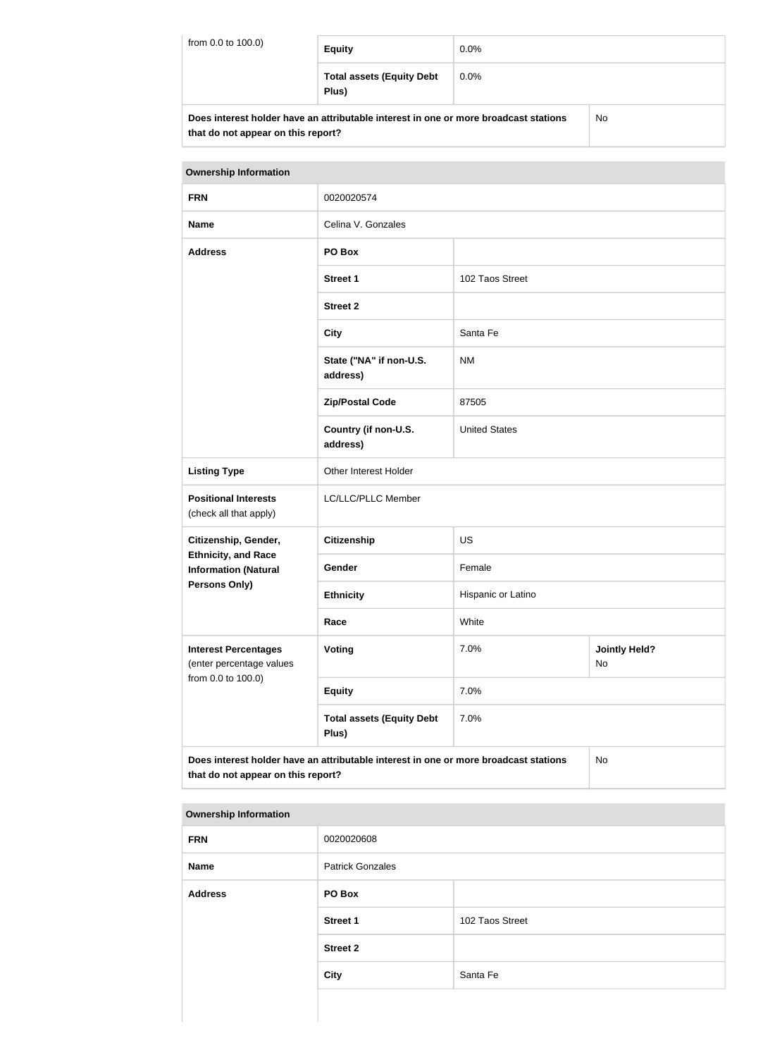| from 0.0 to 100.0) | <b>Equity</b>                                                                        | $0.0\%$ |    |
|--------------------|--------------------------------------------------------------------------------------|---------|----|
|                    | <b>Total assets (Equity Debt</b><br>Plus)                                            | 0.0%    |    |
|                    | Does interest holder have an attributable interest in one or more broadcast stations |         | Nο |

| Does interest holder have an attributable interest in one or more broadcast stations | No |
|--------------------------------------------------------------------------------------|----|
| that do not appear on this report?                                                   |    |

| <b>Ownership Information</b>                                                                                                     |                                           |                                    |  |
|----------------------------------------------------------------------------------------------------------------------------------|-------------------------------------------|------------------------------------|--|
| <b>FRN</b>                                                                                                                       | 0020020574                                |                                    |  |
| <b>Name</b>                                                                                                                      | Celina V. Gonzales                        |                                    |  |
| <b>Address</b>                                                                                                                   | PO Box                                    |                                    |  |
|                                                                                                                                  | <b>Street 1</b>                           | 102 Taos Street                    |  |
|                                                                                                                                  | <b>Street 2</b>                           |                                    |  |
|                                                                                                                                  | <b>City</b>                               | Santa Fe                           |  |
|                                                                                                                                  | State ("NA" if non-U.S.<br>address)       | <b>NM</b>                          |  |
|                                                                                                                                  | <b>Zip/Postal Code</b>                    | 87505                              |  |
|                                                                                                                                  | Country (if non-U.S.<br>address)          | <b>United States</b>               |  |
| <b>Listing Type</b>                                                                                                              | Other Interest Holder                     |                                    |  |
| <b>Positional Interests</b><br>(check all that apply)                                                                            | LC/LLC/PLLC Member                        |                                    |  |
| Citizenship, Gender,                                                                                                             | <b>Citizenship</b>                        | <b>US</b>                          |  |
| <b>Ethnicity, and Race</b><br><b>Information (Natural</b>                                                                        | Gender                                    | Female                             |  |
| <b>Persons Only)</b>                                                                                                             | <b>Ethnicity</b>                          | Hispanic or Latino                 |  |
|                                                                                                                                  | Race                                      | White                              |  |
| <b>Interest Percentages</b><br>(enter percentage values<br>from 0.0 to 100.0)                                                    | Voting                                    | 7.0%<br><b>Jointly Held?</b><br>No |  |
|                                                                                                                                  | <b>Equity</b>                             | 7.0%                               |  |
|                                                                                                                                  | <b>Total assets (Equity Debt</b><br>Plus) | 7.0%                               |  |
| Does interest holder have an attributable interest in one or more broadcast stations<br>No<br>that do not appear on this report? |                                           |                                    |  |

### **Ownership Information**

| <b>FRN</b>     | 0020020608              |                 |
|----------------|-------------------------|-----------------|
| Name           | <b>Patrick Gonzales</b> |                 |
| <b>Address</b> | PO Box                  |                 |
|                | <b>Street 1</b>         | 102 Taos Street |
|                | <b>Street 2</b>         |                 |
|                | <b>City</b>             | Santa Fe        |
|                |                         |                 |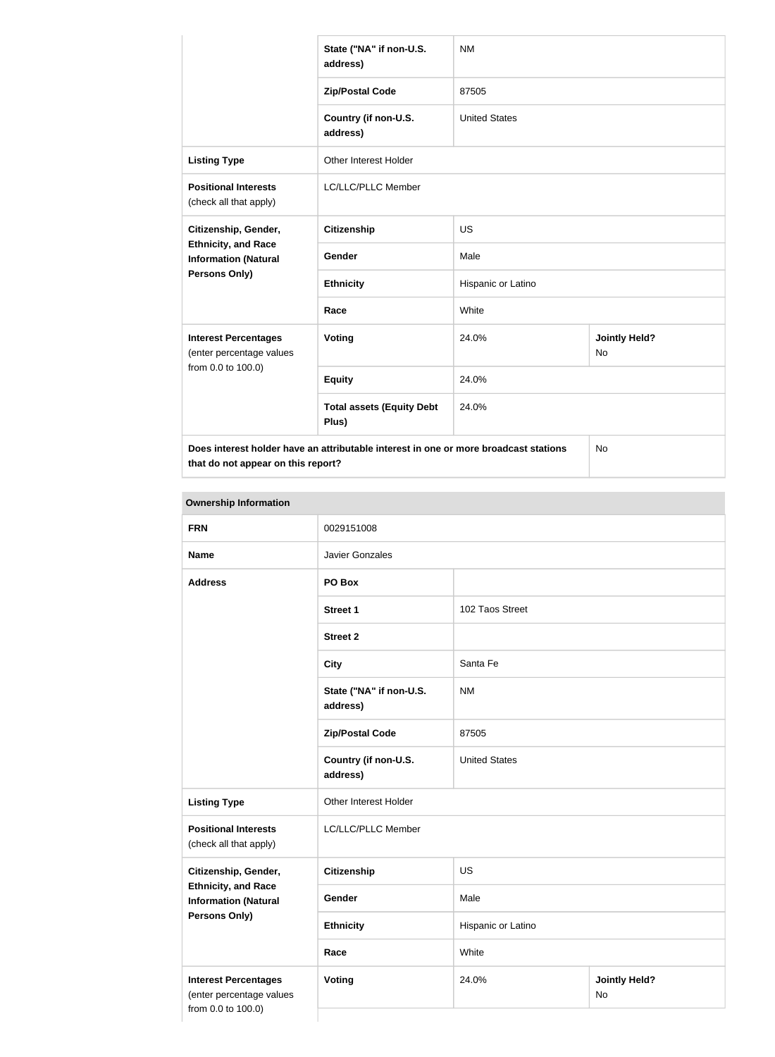|                                                                               | State ("NA" if non-U.S.<br>address)                                                  | <b>NM</b>            |                            |  |
|-------------------------------------------------------------------------------|--------------------------------------------------------------------------------------|----------------------|----------------------------|--|
|                                                                               | <b>Zip/Postal Code</b>                                                               | 87505                |                            |  |
|                                                                               | Country (if non-U.S.<br>address)                                                     | <b>United States</b> |                            |  |
| <b>Listing Type</b>                                                           | <b>Other Interest Holder</b>                                                         |                      |                            |  |
| <b>Positional Interests</b><br>(check all that apply)                         | LC/LLC/PLLC Member                                                                   |                      |                            |  |
| Citizenship, Gender,                                                          | <b>Citizenship</b>                                                                   | <b>US</b>            |                            |  |
| <b>Ethnicity, and Race</b><br><b>Information (Natural</b>                     | <b>Gender</b>                                                                        | Male                 |                            |  |
| Persons Only)                                                                 | <b>Ethnicity</b>                                                                     | Hispanic or Latino   |                            |  |
|                                                                               | Race                                                                                 | White                |                            |  |
| <b>Interest Percentages</b><br>(enter percentage values<br>from 0.0 to 100.0) | Voting                                                                               | 24.0%                | <b>Jointly Held?</b><br>No |  |
|                                                                               | <b>Equity</b>                                                                        | 24.0%                |                            |  |
|                                                                               | <b>Total assets (Equity Debt</b><br>Plus)                                            | 24.0%                |                            |  |
|                                                                               | Does interest holder have an attributable interest in one or more broadcast stations |                      | No                         |  |

**that do not appear on this report?**

**Ownership Information FRN** 0029151008 **Name** Javier Gonzales **Address PO Box Street 1** 102 Taos Street **Street 2 City** Santa Fe **State ("NA" if non-U.S. address)** NM **Zip/Postal Code** 87505 **Country (if non-U.S. address)** United States **Listing Type Circuit Constructs** Other Interest Holder **Positional Interests** (check all that apply) LC/LLC/PLLC Member **Citizenship, Gender, Ethnicity, and Race Information (Natural Persons Only) Citizenship** US Gender Male **Ethnicity** Hispanic or Latino **Race** White **Interest Percentages** (enter percentage values from 0.0 to 100.0) **Voting 24.0% / Voting 24.0% / Voting 100 / Voting 24.0% / Voting 24.0% / Voting 24.0% / Voting 26.0 / Voting 26.0 / Voting 26.0 / Voting 26.0 / Voting 26.0 / Voting 20.0 / Voting 20.0 / Voting 20.0 / Voting 20.0 / Voting** No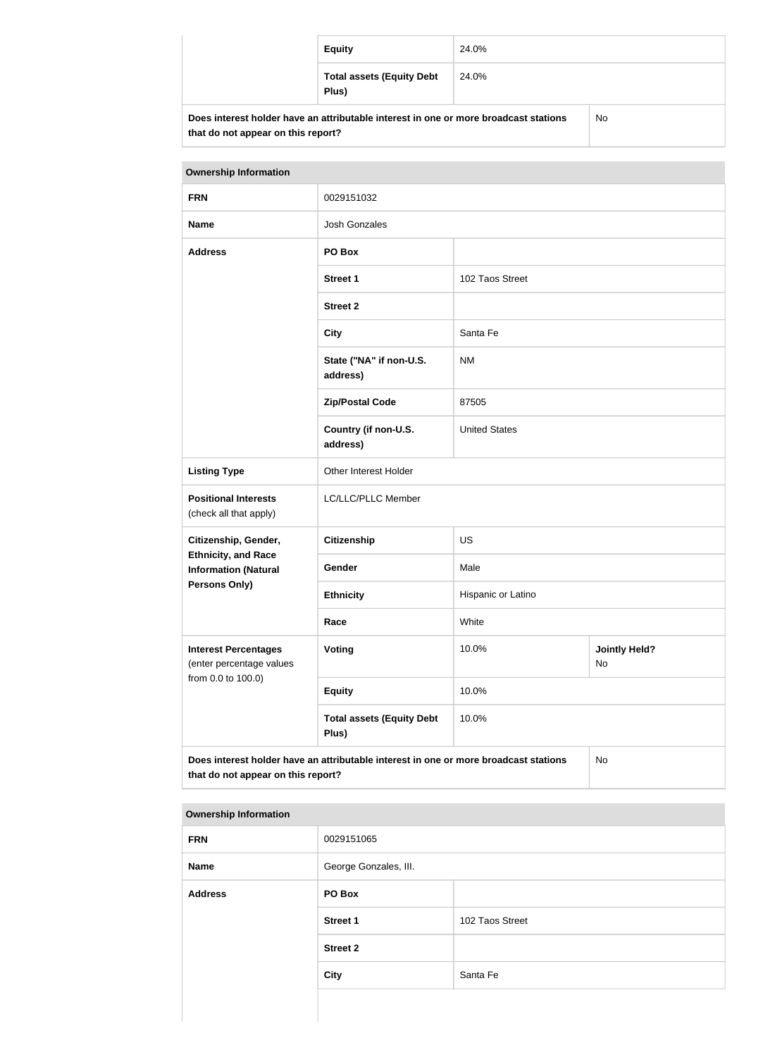| <b>Equity</b>                                                                        | 24.0% |     |
|--------------------------------------------------------------------------------------|-------|-----|
| <b>Total assets (Equity Debt</b><br>Plus)                                            | 24.0% |     |
| Does interest holder have an attributable interest in one or more broadcast stations |       | No. |

| <b>Ownership Information</b>                                                                                                     |                                           |                                            |  |  |
|----------------------------------------------------------------------------------------------------------------------------------|-------------------------------------------|--------------------------------------------|--|--|
| <b>FRN</b>                                                                                                                       | 0029151032                                |                                            |  |  |
| <b>Name</b>                                                                                                                      | <b>Josh Gonzales</b>                      |                                            |  |  |
| <b>Address</b>                                                                                                                   | PO Box                                    |                                            |  |  |
|                                                                                                                                  | <b>Street 1</b>                           | 102 Taos Street                            |  |  |
|                                                                                                                                  | <b>Street 2</b>                           |                                            |  |  |
|                                                                                                                                  | <b>City</b>                               | Santa Fe                                   |  |  |
|                                                                                                                                  | State ("NA" if non-U.S.<br>address)       | <b>NM</b>                                  |  |  |
|                                                                                                                                  | <b>Zip/Postal Code</b>                    | 87505                                      |  |  |
|                                                                                                                                  | Country (if non-U.S.<br>address)          | <b>United States</b>                       |  |  |
| <b>Listing Type</b>                                                                                                              | Other Interest Holder                     |                                            |  |  |
| <b>Positional Interests</b><br>(check all that apply)                                                                            | LC/LLC/PLLC Member                        |                                            |  |  |
| Citizenship, Gender,                                                                                                             | <b>Citizenship</b>                        | US                                         |  |  |
| <b>Ethnicity, and Race</b><br><b>Information (Natural</b>                                                                        | Gender                                    | Male                                       |  |  |
| <b>Persons Only)</b>                                                                                                             | <b>Ethnicity</b>                          | Hispanic or Latino                         |  |  |
|                                                                                                                                  | Race                                      | White                                      |  |  |
| <b>Interest Percentages</b><br>(enter percentage values<br>from 0.0 to 100.0)                                                    | Voting                                    | 10.0%<br><b>Jointly Held?</b><br><b>No</b> |  |  |
|                                                                                                                                  | <b>Equity</b>                             | 10.0%                                      |  |  |
|                                                                                                                                  | <b>Total assets (Equity Debt</b><br>Plus) | 10.0%                                      |  |  |
| Does interest holder have an attributable interest in one or more broadcast stations<br>No<br>that do not appear on this report? |                                           |                                            |  |  |

### **Ownership Information**

**that do not appear on this report?**

| <b>FRN</b>     | 0029151065            |                 |
|----------------|-----------------------|-----------------|
| <b>Name</b>    | George Gonzales, III. |                 |
| <b>Address</b> | PO Box                |                 |
|                | <b>Street 1</b>       | 102 Taos Street |
|                | <b>Street 2</b>       |                 |
|                | <b>City</b>           | Santa Fe        |
|                |                       |                 |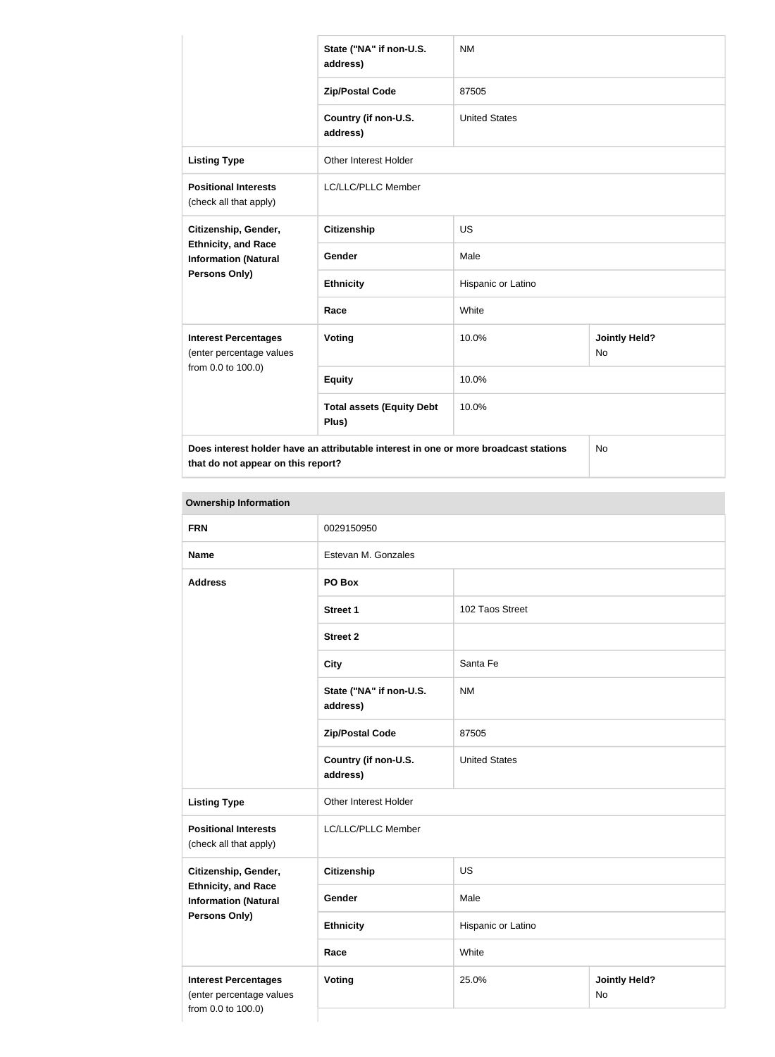|                                                                               | State ("NA" if non-U.S.<br>address)                                                  | <b>NM</b>            |                                   |  |
|-------------------------------------------------------------------------------|--------------------------------------------------------------------------------------|----------------------|-----------------------------------|--|
|                                                                               | <b>Zip/Postal Code</b>                                                               | 87505                |                                   |  |
|                                                                               | Country (if non-U.S.<br>address)                                                     | <b>United States</b> |                                   |  |
| <b>Listing Type</b>                                                           | <b>Other Interest Holder</b>                                                         |                      |                                   |  |
| <b>Positional Interests</b><br>(check all that apply)                         | LC/LLC/PLLC Member                                                                   |                      |                                   |  |
| Citizenship, Gender,                                                          | <b>Citizenship</b>                                                                   | <b>US</b>            |                                   |  |
| <b>Ethnicity, and Race</b><br><b>Information (Natural</b>                     | Gender                                                                               | Male                 |                                   |  |
| Persons Only)                                                                 | <b>Ethnicity</b>                                                                     | Hispanic or Latino   |                                   |  |
|                                                                               | Race                                                                                 | White                |                                   |  |
| <b>Interest Percentages</b><br>(enter percentage values<br>from 0.0 to 100.0) | Voting                                                                               | 10.0%                | <b>Jointly Held?</b><br><b>No</b> |  |
|                                                                               | <b>Equity</b>                                                                        | 10.0%                |                                   |  |
|                                                                               | <b>Total assets (Equity Debt</b><br>Plus)                                            | 10.0%                |                                   |  |
|                                                                               | Does interest holder have an attributable interest in one or more broadcast stations |                      | No                                |  |

**that do not appear on this report?**

**Ownership Information FRN** 0029150950 **Name** Estevan M. Gonzales **Address PO Box Street 1** 102 Taos Street **Street 2 City** Santa Fe **State ("NA" if non-U.S. address)** NM **Zip/Postal Code** 87505 **Country (if non-U.S. address)** United States **Listing Type Circuit Constructs** Other Interest Holder **Positional Interests** (check all that apply) LC/LLC/PLLC Member **Citizenship, Gender, Ethnicity, and Race Information (Natural Persons Only) Citizenship** US Gender Male **Ethnicity** Hispanic or Latino **Race** White **Interest Percentages** (enter percentage values from 0.0 to 100.0) **Voting 25.0% / Voting 25.0% / Voting 25.0% / Voting 25.0% / Voting 25.0% / Voting 25.0% / Voting 25.0% / Voting 25.0% / Voting 25.0% / Voting 25.0% / Voting 25.0% / Voting 25.0% / Voting 25.0% / Voting 25.0% / Voting 25.0** No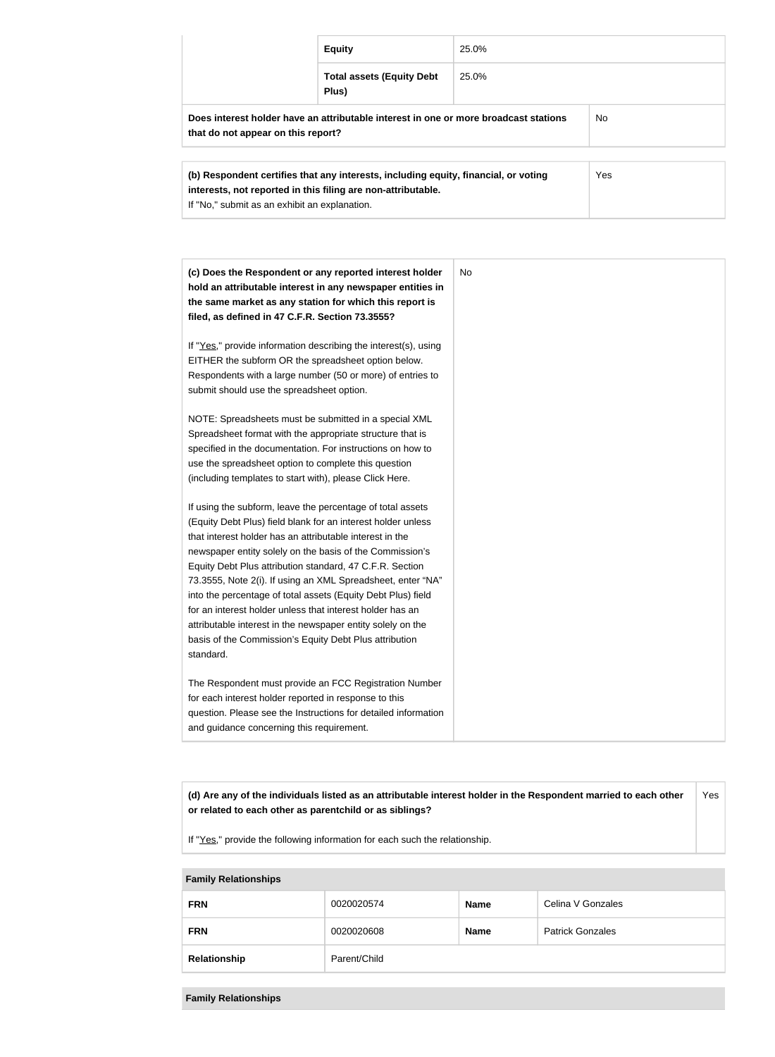|                                                                                                                                   | <b>Equity</b>                             | 25.0% |  |
|-----------------------------------------------------------------------------------------------------------------------------------|-------------------------------------------|-------|--|
|                                                                                                                                   | <b>Total assets (Equity Debt</b><br>Plus) | 25.0% |  |
| Does interest holder have an attributable interest in one or more broadcast stations<br>No.<br>that do not appear on this report? |                                           |       |  |
| Yes<br>(b) Respondent certifies that any interests, including equity, financial, or voting                                        |                                           |       |  |

| (c) Does the Respondent or any reported interest holder         | No. |
|-----------------------------------------------------------------|-----|
| hold an attributable interest in any newspaper entities in      |     |
| the same market as any station for which this report is         |     |
| filed, as defined in 47 C.F.R. Section 73.3555?                 |     |
| If "Yes," provide information describing the interest(s), using |     |
| EITHER the subform OR the spreadsheet option below.             |     |
| Respondents with a large number (50 or more) of entries to      |     |
| submit should use the spreadsheet option.                       |     |
| NOTE: Spreadsheets must be submitted in a special XML           |     |
| Spreadsheet format with the appropriate structure that is       |     |
| specified in the documentation. For instructions on how to      |     |
| use the spreadsheet option to complete this question            |     |
| (including templates to start with), please Click Here.         |     |
| If using the subform, leave the percentage of total assets      |     |
| (Equity Debt Plus) field blank for an interest holder unless    |     |
| that interest holder has an attributable interest in the        |     |
| newspaper entity solely on the basis of the Commission's        |     |
| Equity Debt Plus attribution standard, 47 C.F.R. Section        |     |
| 73.3555, Note 2(i). If using an XML Spreadsheet, enter "NA"     |     |
| into the percentage of total assets (Equity Debt Plus) field    |     |
| for an interest holder unless that interest holder has an       |     |
| attributable interest in the newspaper entity solely on the     |     |
| basis of the Commission's Equity Debt Plus attribution          |     |
| standard.                                                       |     |
| The Respondent must provide an FCC Registration Number          |     |
| for each interest holder reported in response to this           |     |
| question. Please see the Instructions for detailed information  |     |
| and guidance concerning this requirement.                       |     |

**(d) Are any of the individuals listed as an attributable interest holder in the Respondent married to each other or related to each other as parentchild or as siblings?** Yes

If "Yes," provide the following information for each such the relationship.

**interests, not reported in this filing are non-attributable.**

If "No," submit as an exhibit an explanation.

| <b>Family Relationships</b> |              |             |                         |
|-----------------------------|--------------|-------------|-------------------------|
| <b>FRN</b>                  | 0020020574   | <b>Name</b> | Celina V Gonzales       |
| <b>FRN</b>                  | 0020020608   | <b>Name</b> | <b>Patrick Gonzales</b> |
| Relationship                | Parent/Child |             |                         |

#### **Family Relationships**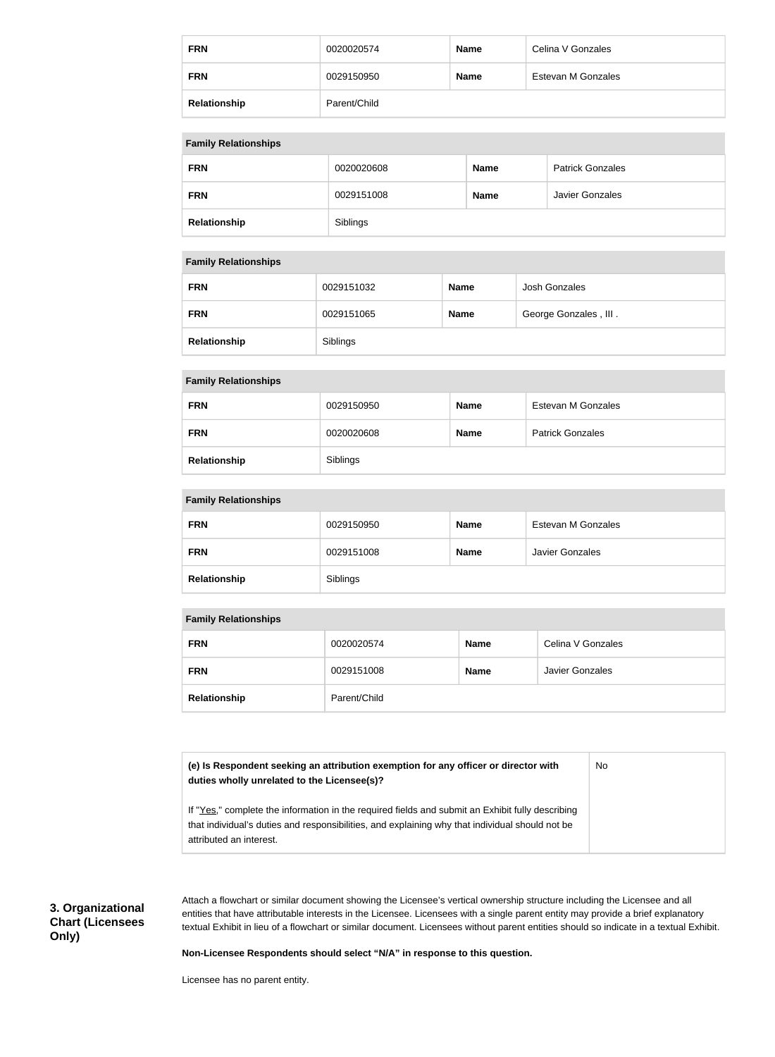| <b>FRN</b>   | 0020020574   | <b>Name</b> | Celina V Gonzales  |
|--------------|--------------|-------------|--------------------|
| <b>FRN</b>   | 0029150950   | <b>Name</b> | Estevan M Gonzales |
| Relationship | Parent/Child |             |                    |

| <b>Family Relationships</b> |            |             |                         |
|-----------------------------|------------|-------------|-------------------------|
| <b>FRN</b>                  | 0020020608 | <b>Name</b> | <b>Patrick Gonzales</b> |
| <b>FRN</b>                  | 0029151008 | <b>Name</b> | Javier Gonzales         |
| Relationship                | Siblings   |             |                         |

### **Family Relationships**

| <b>FRN</b>   | 0029151032 | <b>Name</b> | Josh Gonzales         |
|--------------|------------|-------------|-----------------------|
| <b>FRN</b>   | 0029151065 | <b>Name</b> | George Gonzales, III. |
| Relationship | Siblings   |             |                       |

#### **Family Relationships**

| <b>FRN</b>   | 0029150950 | <b>Name</b> | Estevan M Gonzales      |
|--------------|------------|-------------|-------------------------|
| <b>FRN</b>   | 0020020608 | <b>Name</b> | <b>Patrick Gonzales</b> |
| Relationship | Siblings   |             |                         |

#### **Family Relationships**

| <b>FRN</b>   | 0029150950 | <b>Name</b> | Estevan M Gonzales |
|--------------|------------|-------------|--------------------|
| <b>FRN</b>   | 0029151008 | <b>Name</b> | Javier Gonzales    |
| Relationship | Siblings   |             |                    |

#### **Family Relationships**

| <b>FRN</b>   | 0020020574   | <b>Name</b> | Celina V Gonzales      |
|--------------|--------------|-------------|------------------------|
| <b>FRN</b>   | 0029151008   | <b>Name</b> | <b>Javier Gonzales</b> |
| Relationship | Parent/Child |             |                        |

**(e) Is Respondent seeking an attribution exemption for any officer or director with duties wholly unrelated to the Licensee(s)?** No

If "Yes," complete the information in the required fields and submit an Exhibit fully describing that individual's duties and responsibilities, and explaining why that individual should not be attributed an interest.

**3. Organizational Chart (Licensees Only)**

Attach a flowchart or similar document showing the Licensee's vertical ownership structure including the Licensee and all entities that have attributable interests in the Licensee. Licensees with a single parent entity may provide a brief explanatory textual Exhibit in lieu of a flowchart or similar document. Licensees without parent entities should so indicate in a textual Exhibit.

#### **Non-Licensee Respondents should select "N/A" in response to this question.**

Licensee has no parent entity.